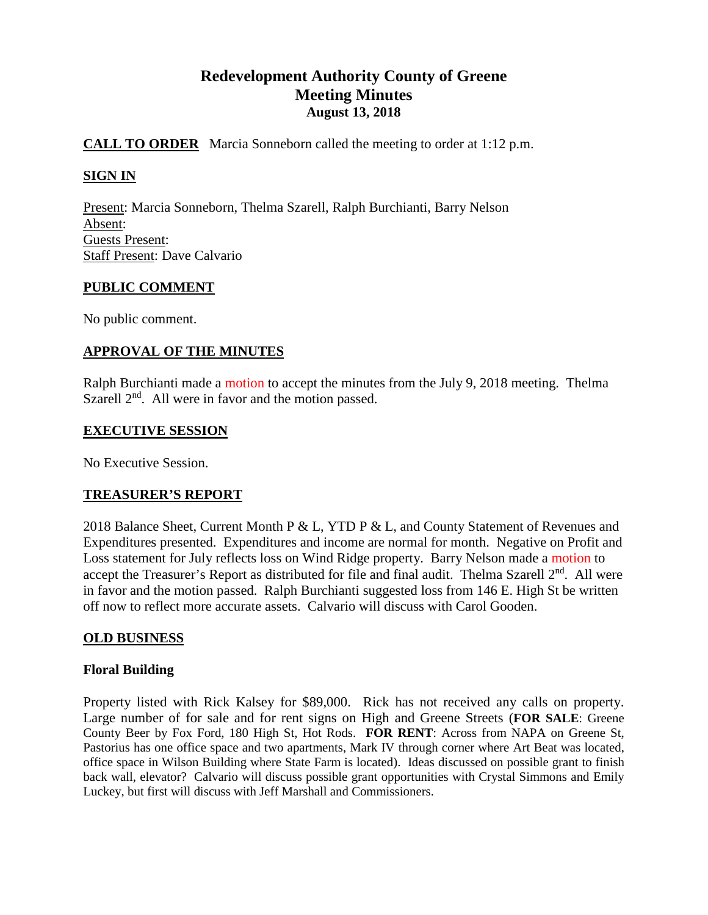# **Redevelopment Authority County of Greene Meeting Minutes August 13, 2018**

# **CALL TO ORDER** Marcia Sonneborn called the meeting to order at 1:12 p.m.

# **SIGN IN**

Present: Marcia Sonneborn, Thelma Szarell, Ralph Burchianti, Barry Nelson Absent: Guests Present: Staff Present: Dave Calvario

### **PUBLIC COMMENT**

No public comment.

# **APPROVAL OF THE MINUTES**

Ralph Burchianti made a motion to accept the minutes from the July 9, 2018 meeting. Thelma Szarell  $2<sup>nd</sup>$ . All were in favor and the motion passed.

### **EXECUTIVE SESSION**

No Executive Session.

### **TREASURER'S REPORT**

2018 Balance Sheet, Current Month P & L, YTD P & L, and County Statement of Revenues and Expenditures presented. Expenditures and income are normal for month. Negative on Profit and Loss statement for July reflects loss on Wind Ridge property. Barry Nelson made a motion to accept the Treasurer's Report as distributed for file and final audit. Thelma Szarell 2<sup>nd</sup>. All were in favor and the motion passed. Ralph Burchianti suggested loss from 146 E. High St be written off now to reflect more accurate assets. Calvario will discuss with Carol Gooden.

### **OLD BUSINESS**

### **Floral Building**

Property listed with Rick Kalsey for \$89,000. Rick has not received any calls on property. Large number of for sale and for rent signs on High and Greene Streets (**FOR SALE**: Greene County Beer by Fox Ford, 180 High St, Hot Rods. **FOR RENT**: Across from NAPA on Greene St, Pastorius has one office space and two apartments, Mark IV through corner where Art Beat was located, office space in Wilson Building where State Farm is located). Ideas discussed on possible grant to finish back wall, elevator? Calvario will discuss possible grant opportunities with Crystal Simmons and Emily Luckey, but first will discuss with Jeff Marshall and Commissioners.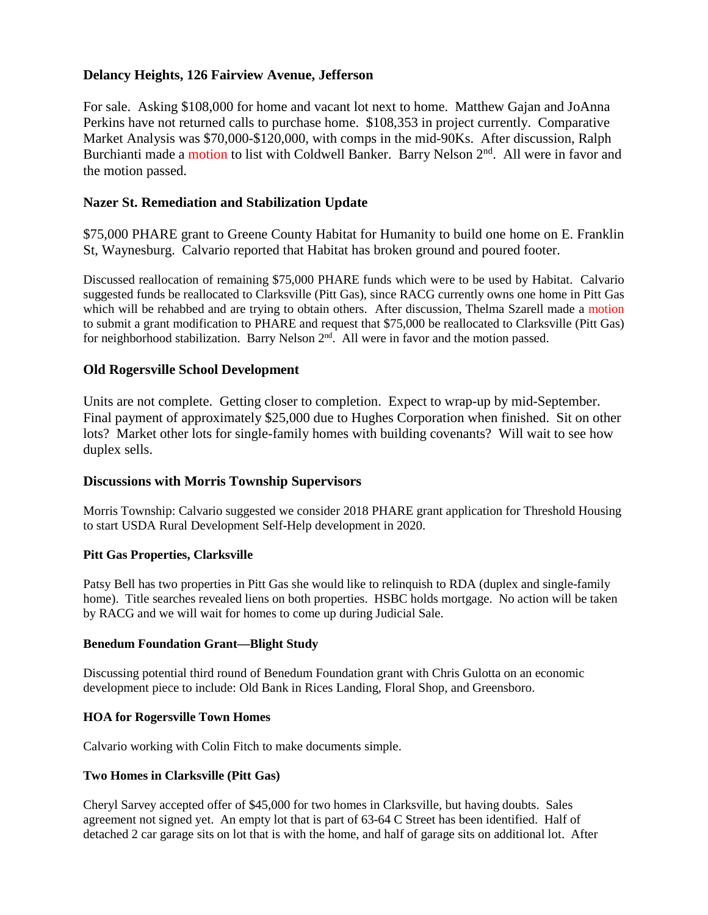# **Delancy Heights, 126 Fairview Avenue, Jefferson**

For sale. Asking \$108,000 for home and vacant lot next to home. Matthew Gajan and JoAnna Perkins have not returned calls to purchase home. \$108,353 in project currently. Comparative Market Analysis was \$70,000-\$120,000, with comps in the mid-90Ks. After discussion, Ralph Burchianti made a motion to list with Coldwell Banker. Barry Nelson 2<sup>nd</sup>. All were in favor and the motion passed.

# **Nazer St. Remediation and Stabilization Update**

\$75,000 PHARE grant to Greene County Habitat for Humanity to build one home on E. Franklin St, Waynesburg. Calvario reported that Habitat has broken ground and poured footer.

Discussed reallocation of remaining \$75,000 PHARE funds which were to be used by Habitat. Calvario suggested funds be reallocated to Clarksville (Pitt Gas), since RACG currently owns one home in Pitt Gas which will be rehabbed and are trying to obtain others. After discussion, Thelma Szarell made a motion to submit a grant modification to PHARE and request that \$75,000 be reallocated to Clarksville (Pitt Gas) for neighborhood stabilization. Barry Nelson  $2<sup>nd</sup>$ . All were in favor and the motion passed.

### **Old Rogersville School Development**

Units are not complete. Getting closer to completion. Expect to wrap-up by mid-September. Final payment of approximately \$25,000 due to Hughes Corporation when finished. Sit on other lots? Market other lots for single-family homes with building covenants? Will wait to see how duplex sells.

### **Discussions with Morris Township Supervisors**

Morris Township: Calvario suggested we consider 2018 PHARE grant application for Threshold Housing to start USDA Rural Development Self-Help development in 2020.

#### **Pitt Gas Properties, Clarksville**

Patsy Bell has two properties in Pitt Gas she would like to relinquish to RDA (duplex and single-family home). Title searches revealed liens on both properties. HSBC holds mortgage. No action will be taken by RACG and we will wait for homes to come up during Judicial Sale.

#### **Benedum Foundation Grant—Blight Study**

Discussing potential third round of Benedum Foundation grant with Chris Gulotta on an economic development piece to include: Old Bank in Rices Landing, Floral Shop, and Greensboro.

#### **HOA for Rogersville Town Homes**

Calvario working with Colin Fitch to make documents simple.

#### **Two Homes in Clarksville (Pitt Gas)**

Cheryl Sarvey accepted offer of \$45,000 for two homes in Clarksville, but having doubts. Sales agreement not signed yet. An empty lot that is part of 63-64 C Street has been identified. Half of detached 2 car garage sits on lot that is with the home, and half of garage sits on additional lot. After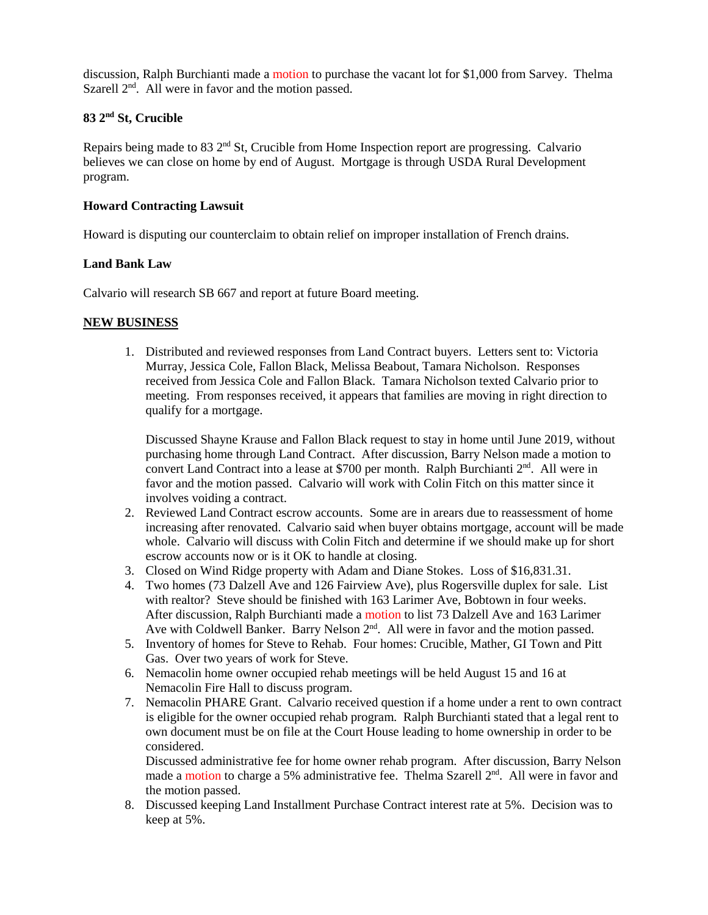discussion, Ralph Burchianti made a motion to purchase the vacant lot for \$1,000 from Sarvey. Thelma Szarell  $2<sup>nd</sup>$ . All were in favor and the motion passed.

# **83 2nd St, Crucible**

Repairs being made to 83  $2<sup>nd</sup>$  St, Crucible from Home Inspection report are progressing. Calvario believes we can close on home by end of August. Mortgage is through USDA Rural Development program.

#### **Howard Contracting Lawsuit**

Howard is disputing our counterclaim to obtain relief on improper installation of French drains.

#### **Land Bank Law**

Calvario will research SB 667 and report at future Board meeting.

#### **NEW BUSINESS**

1. Distributed and reviewed responses from Land Contract buyers. Letters sent to: Victoria Murray, Jessica Cole, Fallon Black, Melissa Beabout, Tamara Nicholson. Responses received from Jessica Cole and Fallon Black. Tamara Nicholson texted Calvario prior to meeting. From responses received, it appears that families are moving in right direction to qualify for a mortgage.

Discussed Shayne Krause and Fallon Black request to stay in home until June 2019, without purchasing home through Land Contract. After discussion, Barry Nelson made a motion to convert Land Contract into a lease at \$700 per month. Ralph Burchianti  $2<sup>nd</sup>$ . All were in favor and the motion passed. Calvario will work with Colin Fitch on this matter since it involves voiding a contract.

- 2. Reviewed Land Contract escrow accounts. Some are in arears due to reassessment of home increasing after renovated. Calvario said when buyer obtains mortgage, account will be made whole. Calvario will discuss with Colin Fitch and determine if we should make up for short escrow accounts now or is it OK to handle at closing.
- 3. Closed on Wind Ridge property with Adam and Diane Stokes. Loss of \$16,831.31.
- 4. Two homes (73 Dalzell Ave and 126 Fairview Ave), plus Rogersville duplex for sale. List with realtor? Steve should be finished with 163 Larimer Ave, Bobtown in four weeks. After discussion, Ralph Burchianti made a motion to list 73 Dalzell Ave and 163 Larimer Ave with Coldwell Banker. Barry Nelson 2<sup>nd</sup>. All were in favor and the motion passed.
- 5. Inventory of homes for Steve to Rehab. Four homes: Crucible, Mather, GI Town and Pitt Gas. Over two years of work for Steve.
- 6. Nemacolin home owner occupied rehab meetings will be held August 15 and 16 at Nemacolin Fire Hall to discuss program.
- 7. Nemacolin PHARE Grant. Calvario received question if a home under a rent to own contract is eligible for the owner occupied rehab program. Ralph Burchianti stated that a legal rent to own document must be on file at the Court House leading to home ownership in order to be considered.

Discussed administrative fee for home owner rehab program. After discussion, Barry Nelson made a motion to charge a 5% administrative fee. Thelma Szarell 2<sup>nd</sup>. All were in favor and the motion passed.

8. Discussed keeping Land Installment Purchase Contract interest rate at 5%. Decision was to keep at 5%.